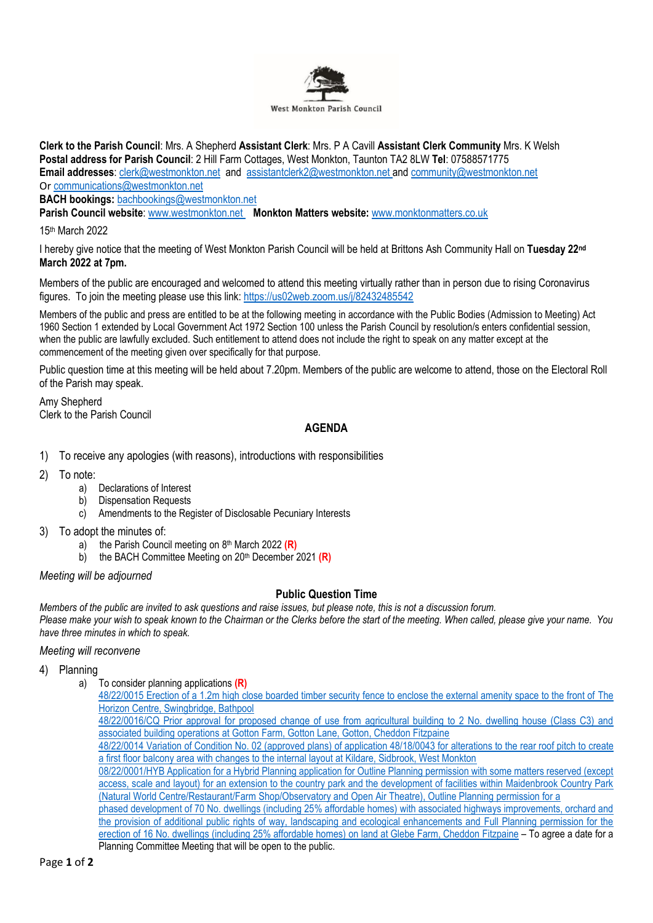

**Clerk to the Parish Council**: Mrs. A Shepherd **Assistant Clerk**: Mrs. P A Cavill **Assistant Clerk Community** Mrs. K Welsh **Postal address for Parish Council**: 2 Hill Farm Cottages, West Monkton, Taunton TA2 8LW **Tel**: 07588571775 **Email addresses**: [clerk@westmonkton.net](mailto:clerk@westmonkton.net) and [assistantclerk2@westmonkton.net](mailto:assistantclerk2@westmonkton.net) an[d community@westmonkton.net](mailto:community@westmonkton.net) Or [communications@westmonkton.net](mailto:communications@westmonkton.net)

**BACH bookings:** [bachbookings@westmonkton.net](mailto:bachbookings@westmonkton.net)

**Parish Council website**: [www.westmonkton.net](http://www.westmonkton.net/) **Monkton Matters website:** [www.monktonmatters.co.uk](http://www.monktonmatters.co.uk/)

15th March 2022

I hereby give notice that the meeting of West Monkton Parish Council will be held at Brittons Ash Community Hall on **Tuesday 22 nd March 2022 at 7pm.**

Members of the public are encouraged and welcomed to attend this meeting virtually rather than in person due to rising Coronavirus figures. To join the meeting please use this link:<https://us02web.zoom.us/j/82432485542>

Members of the public and press are entitled to be at the following meeting in accordance with the Public Bodies (Admission to Meeting) Act 1960 Section 1 extended by Local Government Act 1972 Section 100 unless the Parish Council by resolution/s enters confidential session, when the public are lawfully excluded. Such entitlement to attend does not include the right to speak on any matter except at the commencement of the meeting given over specifically for that purpose.

Public question time at this meeting will be held about 7.20pm. Members of the public are welcome to attend, those on the Electoral Roll of the Parish may speak.

Amy Shepherd Clerk to the Parish Council

# **AGENDA**

- 1) To receive any apologies (with reasons), introductions with responsibilities
- 2) To note:
	- a) Declarations of Interest
	- b) Dispensation Requests
	- c) Amendments to the Register of Disclosable Pecuniary Interests
- 3) To adopt the minutes of:
	- a) the Parish Council meeting on 8<sup>th</sup> March 2022 (R)
	- b) the BACH Committee Meeting on 20<sup>th</sup> December 2021 (R)

*Meeting will be adjourned*

# **Public Question Time**

*Members of the public are invited to ask questions and raise issues, but please note, this is not a discussion forum. Please make your wish to speak known to the Chairman or the Clerks before the start of the meeting. When called, please give your name. You have three minutes in which to speak.*

### *Meeting will reconvene*

# 4) Planning

a) To consider planning applications **(R)**

[48/22/0015 Erection of a 1.2m high close boarded timber security fence to enclose the external amenity space to the front of The](https://www3.somersetwestandtaunton.gov.uk/asp/webpages/plan/PlAppDets.asp?casefullref=48/22/0015&QC=YyWC1)  [Horizon Centre, Swingbridge, Bathpool](https://www3.somersetwestandtaunton.gov.uk/asp/webpages/plan/PlAppDets.asp?casefullref=48/22/0015&QC=YyWC1)

[48/22/0016/CQ Prior approval for proposed change of use from agricultural building to 2 No. dwelling house \(Class C3\) and](https://www3.somersetwestandtaunton.gov.uk/asp/webpages/plan/PlAppDets.asp?casefullref=48/22/0016/CQ&QC=YyWC1)  [associated building operations at Gotton Farm, Gotton Lane, Gotton, Cheddon Fitzpaine](https://www3.somersetwestandtaunton.gov.uk/asp/webpages/plan/PlAppDets.asp?casefullref=48/22/0016/CQ&QC=YyWC1)

[48/22/0014 Variation of Condition No. 02 \(approved plans\) of application 48/18/0043 for](https://www3.somersetwestandtaunton.gov.uk/asp/webpages/plan/PlAppDets.asp?casefullref=48/22/0014&QC=YyWC1) alterations to the rear roof pitch to create a first floor balcony area with [changes to the internal layout at Kildare, Sidbrook, West Monkton](https://www3.somersetwestandtaunton.gov.uk/asp/webpages/plan/PlAppDets.asp?casefullref=48/22/0014&QC=YyWC1)

[08/22/0001/HYB Application for a Hybrid Planning application for Outline Planning permission](https://www3.somersetwestandtaunton.gov.uk/asp/webpages/plan/PlAppDets.asp?casefullref=08/22/0001/HYB&QC=YyWC1) with some matters reserved (except access, scale and layout) for an [extension to the country park and the development of facilities within](https://www3.somersetwestandtaunton.gov.uk/asp/webpages/plan/PlAppDets.asp?casefullref=08/22/0001/HYB&QC=YyWC1) Maidenbrook Country Park (Natural World Centre/Restaurant/Farm [Shop/Observatory and Open Air Theatre\), Outline Planning permission for a](https://www3.somersetwestandtaunton.gov.uk/asp/webpages/plan/PlAppDets.asp?casefullref=08/22/0001/HYB&QC=YyWC1)

[phased development of 70 No. dwellings \(including 25% affordable homes\)](https://www3.somersetwestandtaunton.gov.uk/asp/webpages/plan/PlAppDets.asp?casefullref=08/22/0001/HYB&QC=YyWC1) with associated highways improvements, orchard and the provision of [additional public rights of way, landscaping and ecological enhancements and](https://www3.somersetwestandtaunton.gov.uk/asp/webpages/plan/PlAppDets.asp?casefullref=08/22/0001/HYB&QC=YyWC1) Full Planning permission for the erection of 16 No. dwellings (including 25% [affordable homes\) on land at Glebe Farm, Cheddon Fitzpaine](https://www3.somersetwestandtaunton.gov.uk/asp/webpages/plan/PlAppDets.asp?casefullref=08/22/0001/HYB&QC=YyWC1) – To agree a date for a Planning Committee Meeting that will be open to the public.